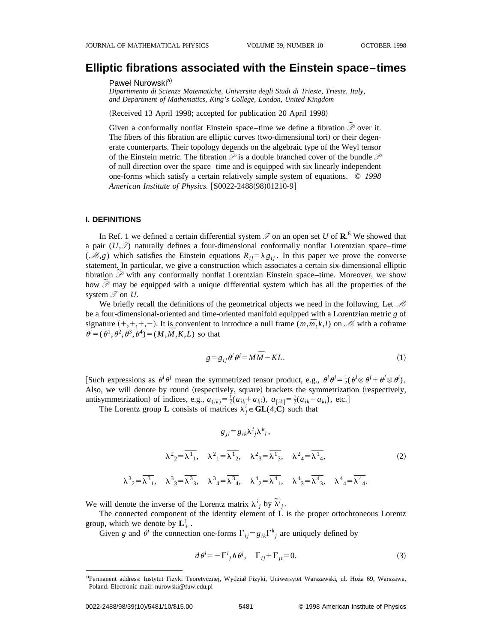# **Elliptic fibrations associated with the Einstein space–times**

#### Paweł Nurowski<sup>a)</sup>

*Dipartimento di Scienze Matematiche, Universita degli Studi di Trieste, Trieste, Italy, and Department of Mathematics, King's College, London, United Kingdom*

(Received 13 April 1998; accepted for publication 20 April 1998)

Given a conformally nonflat Einstein space–time we define a fibration  $\tilde{\mathcal{P}}$  over it. The fibers of this fibration are elliptic curves (two-dimensional tori) or their degenerate counterparts. Their topology depends on the algebraic type of the Weyl tensor Figure 1.1 Figure 1.1 Figure 1.1 Figure 1.1 Figure 1.1 Figure 1.1 Figure 1.1 Figure 1.1 Figure 1.1 Figure 1.1 Figure 1.1 Figure 1.1 Figure 1.1 Figure 1.1 Figure 1.1 Figure 1.1 Figure 1.1 Figure 1.1 Figure 1.1 Figure 1.1 F of null direction over the space–time and is equipped with six linearly independent one-forms which satisfy a certain relatively simple system of equations. © *1998 American Institute of Physics.* [S0022-2488(98)01210-9]

# **I. DEFINITIONS**

In Ref. 1 we defined a certain differential system  $\mathcal I$  on an open set U of  $\mathbb R$ .<sup>6</sup> We showed that a pair  $(U,\mathcal{I})$  naturally defines a four-dimensional conformally nonflat Lorentzian space–time (*M*,*g*) which satisfies the Einstein equations  $R_{ij} = \lambda g_{ij}$ . In this paper we prove the converse statement. In particular, we give a construction which associates a certain six-dimensional elliptic statement. In particular, we give a construction which associates a certain six-dimensional empire<br>fibration  $\tilde{\mathscr{P}}$  with any conformally nonflat Lorentzian Einstein space–time. Moreover, we show  $A_n$  moreover, we show  $\mathscr P$  may be equipped with a unique differential system which has all the properties of the system  $\mathcal I$  on *U*.

We briefly recall the definitions of the geometrical objects we need in the following. Let *M* be a four-dimensional-oriented and time-oriented manifold equipped with a Lorentzian metric *g* of signature  $(+,+,+,-)$ . It is convenient to introduce a null frame  $(m,\overline{m},k,l)$  on *M* with a coframe  $\theta^i = (\theta^1, \theta^2, \theta^3, \theta^4) = (M, \overline{M}, K, L)$  so that

$$
g = g_{ij}\theta^i \theta^j = M\overline{M} - KL.
$$
 (1)

[Such expressions as  $\theta^i \theta^j$  mean the symmetrized tensor product, e.g.,  $\theta^i \theta^j = \frac{1}{2}(\theta^i \otimes \theta^j + \theta^j \otimes \theta^i)$ . Also, we will denote by round (respectively, square) brackets the symmetrization (respectively, antisymmetrization) of indices, e.g.,  $a_{(ik)} = \frac{1}{2}(a_{ik} + a_{ki}), a_{[ik]} = \frac{1}{2}(a_{ik} - a_{ki}),$  etc.]

The Lorentz group **L** consists of matrices  $\lambda_j^i \in \mathbf{GL}(4,\mathbf{C})$  such that

$$
g_{jl} = g_{ik}\lambda^i{}_j \lambda^k{}_l,
$$
  

$$
\lambda^2{}_2 = \overline{\lambda^1{}_1}, \quad \lambda^2{}_1 = \overline{\lambda^1{}_2}, \quad \lambda^2{}_3 = \overline{\lambda^1{}_3}, \quad \lambda^2{}_4 = \overline{\lambda^1{}_4},
$$
  

$$
\lambda^3{}_2 = \overline{\lambda^3{}_1}, \quad \lambda^3{}_3 = \overline{\lambda^3{}_3}, \quad \lambda^3{}_4 = \overline{\lambda^3{}_4}, \quad \lambda^4{}_2 = \overline{\lambda^4{}_1}, \quad \lambda^4{}_3 = \overline{\lambda^4{}_3}, \quad \lambda^4{}_4 = \overline{\lambda^4{}_4}.
$$
 (2)

We will denote the inverse of the Lorentz matrix  $\lambda^i_j$  by  $\tilde{\lambda}^i_j$ .

The connected component of the identity element of **L** is the proper ortochroneous Lorentz group, which we denote by **L**<sup>1</sup> *↑* .

Given *g* and  $\theta^i$  the connection one-forms  $\Gamma_{ij} = g_{ik} \Gamma^k_{j}$  are uniquely defined by

$$
d\theta^{i} = -\Gamma^{i}{}_{j} \wedge \theta^{j}, \quad \Gamma_{ij} + \Gamma_{ji} = 0. \tag{3}
$$

a)Permanent address: Instytut Fizyki Teoretycznej, Wydział Fizyki, Uniwersytet Warszawski, ul. Hoża 69, Warszawa, Poland. Electronic mail: nurowski@fuw.edu.pl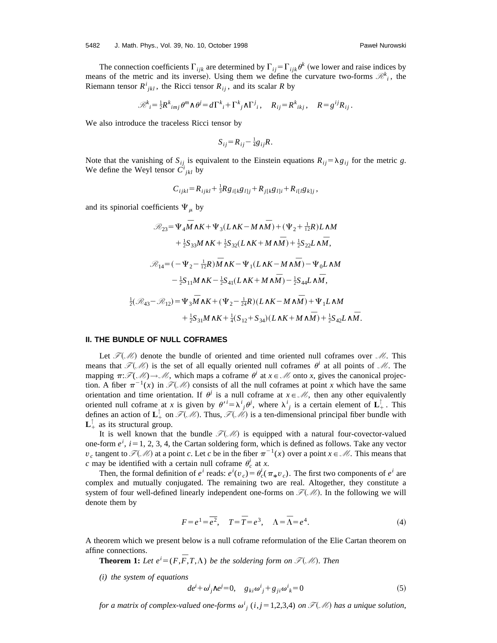The connection coefficients  $\Gamma_{ijk}$  are determined by  $\Gamma_{ij} = \Gamma_{ijk} \theta^k$  (we lower and raise indices by means of the metric and its inverse). Using them we define the curvature two-forms  $\mathcal{R}^k_i$ , the Riemann tensor  $R^i_{jkl}$ , the Ricci tensor  $R_{ij}$ , and its scalar R by

$$
\mathcal{R}^k{}_i = \frac{1}{2} R^k{}_{imj} \theta^m \wedge \theta^j = d\Gamma^k{}_i + \Gamma^k{}_j \wedge \Gamma^j{}_i, \quad R_{ij} = R^k{}_{ikj}, \quad R = g^{ij} R_{ij}.
$$

We also introduce the traceless Ricci tensor by

$$
S_{ij}=R_{ij}-\tfrac{1}{4}g_{ij}R.
$$

Note that the vanishing of  $S_{ij}$  is equivalent to the Einstein equations  $R_{ij} = \lambda g_{ij}$  for the metric *g*. We define the Weyl tensor  $\overrightarrow{C}^i_{jkl}$  by

$$
C_{ijkl} = R_{ijkl} + \frac{1}{3} R g_{i[k} g_{l]j} + R_{j[k} g_{l]i} + R_{i[l} g_{k]j},
$$

and its spinorial coefficients  $\Psi_{\mu}$  by

$$
\mathcal{R}_{23} = \Psi_4 \bar{M} \wedge K + \Psi_3 (L \wedge K - M \wedge \bar{M}) + (\Psi_2 + \frac{1}{12}R) L \wedge M
$$
  
+  $\frac{1}{2} S_{33} M \wedge K + \frac{1}{2} S_{32} (L \wedge K + M \wedge \bar{M}) + \frac{1}{2} S_{22} L \wedge \bar{M},$   

$$
\mathcal{R}_{14} = (-\Psi_2 - \frac{1}{12}R) \bar{M} \wedge K - \Psi_1 (L \wedge K - M \wedge \bar{M}) - \Psi_0 L \wedge M
$$
  
 $-\frac{1}{2} S_{11} M \wedge K - \frac{1}{2} S_{41} (L \wedge K + M \wedge \bar{M}) - \frac{1}{2} S_{44} L \wedge \bar{M},$   
 $\frac{1}{2} (\mathcal{R}_{43} - \mathcal{R}_{12}) = \Psi_3 \bar{M} \wedge K + (\Psi_2 - \frac{1}{24}R) (L \wedge K - M \wedge \bar{M}) + \Psi_1 L \wedge M$   
 $+\frac{1}{2} S_{31} M \wedge K + \frac{1}{4} (S_{12} + S_{34}) (L \wedge K + M \wedge \bar{M}) + \frac{1}{2} S_{42} L \wedge \bar{M}.$ 

# **II. THE BUNDLE OF NULL COFRAMES**

Let  $\mathcal{F}(\mathcal{M})$  denote the bundle of oriented and time oriented null coframes over  $\mathcal{M}$ . This means that  $\mathcal{F}(M)$  is the set of all equally oriented null coframes  $\theta^i$  at all points of M. The mapping  $\pi: \mathcal{F}(\mathcal{M}) \to \mathcal{M}$ , which maps a coframe  $\theta^i$  at  $x \in \mathcal{M}$  onto *x*, gives the canonical projection. A fiber  $\pi^{-1}(x)$  in  $\mathcal{F}(\mathcal{M})$  consists of all the null coframes at point *x* which have the same orientation and time orientation. If  $\theta^j$  is a null coframe at  $x \in \mathcal{M}$ , then any other equivalently oriented null coframe at *x* is given by  $\theta^{i} = \lambda^{i}{}_{j}\theta^{j}$ , where  $\lambda^{i}{}_{j}$  is a certain element of  $\mathbf{L}^{\uparrow}_{+}$ . This defines an action of  $\mathbf{L}^{\top}_+$  on  $\mathscr{F}(\mathscr{M})$ . Thus,  $\mathscr{F}(\mathscr{M})$  is a ten-dimensional principal fiber bundle with  $\mathbf{L}^{\top}_+$  as its structural group.

It is well known that the bundle  $\mathcal{F}(M)$  is equipped with a natural four-covector-valued one-form  $e^{i}$ ,  $i=1, 2, 3, 4$ , the Cartan soldering form, which is defined as follows. Take any vector  $v_c$  tangent to  $\mathcal{F}(M)$  at a point *c*. Let *c* be in the fiber  $\pi^{-1}(x)$  over a point  $x \in M$ . This means that *c* may be identified with a certain null coframe  $\theta_c^i$  at *x*.

Then, the formal definition of  $e^i$  reads:  $e^i(v_c) = \theta_c^i(\pi_* v_c)$ . The first two components of  $e^i$  are plus and mutually conjuncted. The generalized two contractions that consider the generalized complex and mutually conjugated. The remaining two are real. Altogether, they constitute a system of four well-defined linearly independent one-forms on  $\mathcal{F}(M)$ . In the following we will denote them by

$$
F = e1 = \overline{e2}, \quad T = \overline{T} = e3, \quad \Lambda = \overline{\Lambda} = e4.
$$
 (4)

A theorem which we present below is a null coframe reformulation of the Elie Cartan theorem on affine connections.

**Theorem 1:** Let  $e^{i} = (F, \overline{F}, T, \Lambda)$  be the soldering form on  $\mathcal{F}(\mathcal{M})$ . Then

*(i) the system of equations*

$$
de^i + \omega^i_{j} \wedge e^j = 0, \quad g_{ki} \omega^i_j + g_{ji} \omega^i_k = 0 \tag{5}
$$

*for a matrix of complex-valued one-forms*  $\omega^i_{j}$  (*i*, *j* = 1,2,3,4) *on*  $\mathcal{F}(\mathcal{M})$  *has a unique solution*,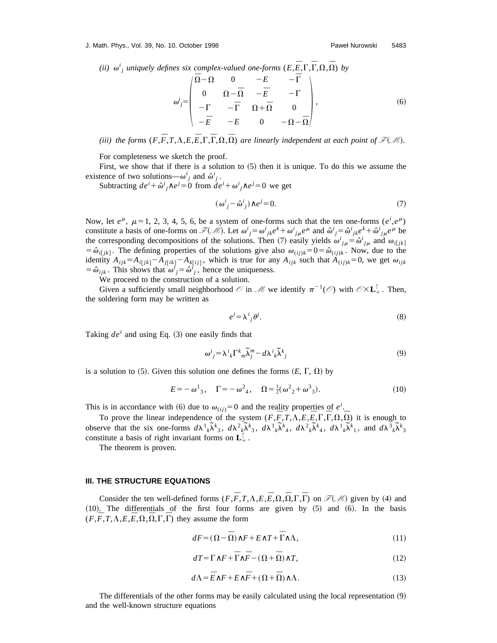*(ii)*  $\omega^i_j$  *uniquely defines six complex-valued one-forms*  $(E, \overline{E}, \Gamma, \overline{\Gamma}, \Omega, \overline{\Omega})$  *by* 

$$
\omega_j' = \begin{pmatrix} \overline{\Omega} - \Omega & 0 & -E & -\overline{\Gamma} \\ 0 & \Omega - \overline{\Omega} & -\overline{E} & -\Gamma \\ -\Gamma & -\overline{\Gamma} & \Omega + \overline{\Omega} & 0 \\ -\overline{E} & -E & 0 & -\Omega - \overline{\Omega} \end{pmatrix},
$$
(6)

*(iii)* the forms  $(F, \overline{F}, T, \Lambda, E, \overline{E}, \Gamma, \overline{\Gamma}, \Omega, \overline{\Omega})$  are linearly independent at each point of  $\mathcal{F}(M)$ .

For completeness we sketch the proof.

First, we show that if there is a solution to  $(5)$  then it is unique. To do this we assume the existence of two solutions— $\omega^i_j$  and  $\hat{\omega}^i_j$ .

Subtracting  $de^{i} + \hat{\omega}^{i}{}_{j} \wedge e^{j} = 0$  from  $de^{i} + \omega^{i}{}_{j} \wedge e^{j} = 0$  we get

$$
(\omega^i_j - \hat{\omega}^i_j) \wedge e^j = 0. \tag{7}
$$

Now, let  $e^{\mu}$ ,  $\mu=1, 2, 3, 4, 5, 6$ , be a system of one-forms such that the ten one-forms  $(e^{i}, e^{\mu})$ constitute a basis of one-forms on  $\mathcal{F}(\mathcal{M})$ . Let  $\omega^i_{\ j} = \omega^i_{\ jk}e^k + \omega^i_{\ j\mu}e^{\mu}$  and  $\hat{\omega}^i_{\ j} = \hat{\omega}^i_{\ jk}e^k + \hat{\omega}^i_{\ j\mu}e^{\mu}$  be the corresponding decompositions of the solutions. Then (7) easily yields  $\omega^i_{j\mu} = \hat{\omega}^i_{j\mu}$  and  $\omega_{i[jk]}$  $=$   $\hat{\omega}_{i\bar{i}}/k$ . The defining properties of the solutions give also  $\omega_{(i\bar{i})k}$  $=$   $0 = \hat{\omega}_{(i\bar{i})k}$ . Now, due to the identity  $A_{ijk} = A_{i[jk]} - A_{j[ik]} - A_{k[ij]}$ , which is true for any  $A_{ijk}$  such that  $A_{(ij)k} = 0$ , we get  $\omega_{ijk}$  $=$   $\hat{\omega}_{ijk}$ . This shows that  $\hat{\omega}_j^i = \hat{\omega}_j^i$ , hence the uniqueness.

We proceed to the construction of a solution.

Given a sufficiently small neighborhood  $\mathcal{O}$  in  $\mathcal{M}$  we identify  $\pi^{-1}(\mathcal{O})$  with  $\mathcal{O}\times L_+^{\uparrow}$ . Then, the soldering form may be written as

$$
e^i = \lambda^i_{\ j}\theta^j. \tag{8}
$$

Taking  $de^{i}$  and using Eq.  $(3)$  one easily finds that

$$
\omega^{i}{}_{j} = \lambda^{i}{}_{k} \Gamma^{k}{}_{m} \widetilde{\lambda}^{m}_{j} - d \lambda^{i}{}_{k} \widetilde{\lambda}^{k}{}_{j}
$$
\n
$$
(9)
$$

is a solution to  $(5)$ . Given this solution one defines the forms  $(E, \Gamma, \Omega)$  by

$$
E = -\omega^1{}_3, \quad \Gamma = -\omega^2{}_4, \quad \Omega = \frac{1}{2}(\omega^2{}_2 + \omega^3{}_3). \tag{10}
$$

This is in accordance with (6) due to  $\omega_{(ij)}=0$  and the reality properties of  $e^i$ .

To prove the linear independence of the system  $(F,\overline{F},T,\Lambda,E,\overline{E},\Gamma,\overline{\Gamma},\Omega,\overline{\Omega})$  it is enough to before that the six one-forms  $d\lambda^1 \tilde{k}^k$ ,  $d\lambda^2 \tilde{k}^k$ ,  $d\lambda^1 \tilde{k}^k$ ,  $d\lambda^1 \tilde{k}^k$ ,  $d\lambda^2 \tilde{k}^k$ ,  $d\lambda^1 \tilde{k}^k$ ,  $d\lambda^2 \tilde{k}^k$ ,  $d\lambda^1 \tilde{k}^k$ ,  $d\lambda^1 \tilde{k}^k$ , and  $d\lambda^3 \tilde{k}^k$ , constitute a basis of right invariant forms on  $\mathbf{L}^{\perp}$ .

The theorem is proven.

# **III. THE STRUCTURE EQUATIONS**

Consider the ten well-defined forms  $(F, \overline{F}, T, \Lambda, E, \overline{E}, \Omega, \overline{\Omega}, \Gamma, \overline{\Gamma})$  on  $\mathcal{F}(\mathcal{M})$  given by (4) and  $(10)$ . The differentials of the first four forms are given by  $(5)$  and  $(6)$ . In the basis  $(F, \overline{F}, T, \Lambda, E, \overline{E}, \Omega, \overline{\Omega}, \Gamma, \overline{\Gamma})$  they assume the form

$$
dF = (\Omega - \overline{\Omega}) \wedge F + E \wedge T + \overline{\Gamma} \wedge \Lambda, \tag{11}
$$

$$
dT = \Gamma \wedge F + \overline{\Gamma} \wedge \overline{F} - (\Omega + \overline{\Omega}) \wedge T, \tag{12}
$$

$$
d\Lambda = \overline{E}\wedge F + E\wedge \overline{F} + (\Omega + \overline{\Omega})\wedge \Lambda. \tag{13}
$$

The differentials of the other forms may be easily calculated using the local representation  $(9)$ and the well-known structure equations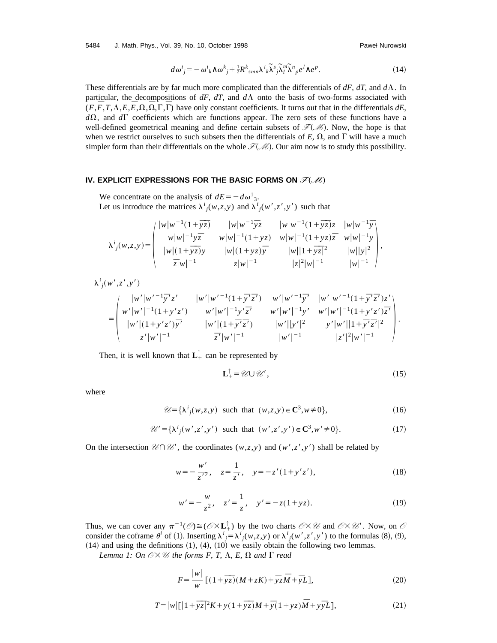5484 J. Math. Phys., Vol. 39, No. 10, October 1998 Paweł Nurowski

$$
d\omega^i{}_j = -\omega^i{}_k \wedge \omega^k{}_j + \frac{1}{2} R^k{}_{smn} \lambda^i{}_k \tilde{\lambda}^s{}_j \tilde{\lambda}^m{}_l \tilde{\lambda}^n{}_p e^l \wedge e^p. \tag{14}
$$

These differentials are by far much more complicated than the differentials of  $dF$ ,  $dT$ , and  $d\Lambda$ . In particular, the decompositions of  $dF$ ,  $dT$ , and  $d\Lambda$  onto the basis of two-forms associated with  $(F, \overline{F}, T, \Lambda, E, \overline{E}, \Omega, \overline{\Omega}, \Gamma, \overline{\Gamma})$  have only constant coefficients. It turns out that in the differentials *dE*,  $d\Omega$ , and  $d\Gamma$  coefficients which are functions appear. The zero sets of these functions have a well-defined geometrical meaning and define certain subsets of  $\mathcal{F}(M)$ . Now, the hope is that when we restrict ourselves to such subsets then the differentials of  $E$ ,  $\Omega$ , and  $\Gamma$  will have a much simpler form than their differentials on the whole  $\mathcal{F}(M)$ . Our aim now is to study this possibility.

# **IV. EXPLICIT EXPRESSIONS FOR THE BASIC FORMS ON**  $\mathcal{F}(\mathcal{M})$

We concentrate on the analysis of  $dE = -d\omega^1_3$ . Let us introduce the matrices  $\lambda^i_j(w, z, y)$  and  $\lambda^i_j(w', z', y')$  such that

$$
\lambda^{i}_{j}(w,z,y) = \begin{pmatrix} |w|w^{-1}(1+\overline{y}\overline{z}) & |w|w^{-1}\overline{y}z & |w|w^{-1}(1+\overline{y}\overline{z})z & |w|w^{-1}\overline{y} \\ w|w|^{-1}yz & w|w|^{-1}(1+yz) & w|w|^{-1}(1+yz)\overline{z} & w|w|^{-1}y \\ |w|(1+\overline{y}\overline{z})y & |w|(1+yz)\overline{y} & |w||1+\overline{y}\overline{z}|^{2} & |w||y|^{2} \\ \overline{z}|w|^{-1} & z|w|^{-1} & |z|^{2}|w|^{-1} & |w|^{-1} \end{pmatrix},
$$

 $\lambda^i_j(w',z',y')$ 

$$
= \begin{pmatrix} |w'|w'^{-1}\bar{y}'z' & |w'|w'^{-1}(1+\bar{y}'\bar{z}') & |w'|w'^{-1}\bar{y}' & |w'|w'^{-1}(1+\bar{y}'\bar{z}')z' \\ w'|w'|^{-1}(1+y'z') & w'|w'|^{-1}y'\bar{z}' & w'|w'|^{-1}y' & w'|w'|^{-1}(1+y'z')\bar{z}' \\ |w'|(1+y'z')\bar{y}' & |w'|(1+\bar{y}'\bar{z}') & |w'||y'|^2 & y'|w'||1+\bar{y}'\bar{z}'|^2 \\ z'|w'|^{-1} & \bar{z}'|w'|^{-1} & |w'|^{-1} & |z'|^2|w'|^{-1} \end{pmatrix}.
$$

Then, it is well known that  $\mathbf{L}^{\top}_+$  can be represented by

$$
\mathbf{L}^{\uparrow}_{+} = \mathscr{U} \cup \mathscr{U}',\tag{15}
$$

where

$$
\mathscr{U} = \{\lambda^i_j(w, z, y) \text{ such that } (w, z, y) \in \mathbb{C}^3, w \neq 0\},\tag{16}
$$

 $\mathcal{U}' = {\lambda^{i}}_{j}(w', z', y')$  such that  $(w', z', y') \in \mathbb{C}^{3}, w' \neq 0$ . (17)

On the intersection  $\mathcal{U} \cap \mathcal{U}'$ , the coordinates  $(w, z, y)$  and  $(w', z', y')$  shall be related by

$$
w = -\frac{w'}{z'^2}, \quad z = \frac{1}{z'}, \quad y = -z'(1 + y'z'), \tag{18}
$$

$$
w' = -\frac{w}{z^2}, \quad z' = \frac{1}{z}, \quad y' = -z(1 + yz). \tag{19}
$$

Thus, we can cover any  $\pi^{-1}(\mathcal{O}) \cong (\mathcal{O} \times L_+^{\uparrow})$  by the two charts  $\mathcal{O} \times \mathcal{U}$  and  $\mathcal{O} \times \mathcal{U}'$ . Now, on  $\mathcal{O}$ consider the coframe  $\theta^i$  of (1). Inserting  $\lambda^i{}_j = \lambda^i{}_j(w, z, y)$  or  $\lambda^i{}_j(w', z', y')$  to the formulas (8), (9),  $(14)$  and using the definitions  $(1)$ ,  $(4)$ ,  $(10)$  we easily obtain the following two lemmas.

*Lemma 1: On*  $\mathcal{O}\times\mathcal{U}$  the forms *F*, *T*,  $\Lambda$ , *E*,  $\Omega$  *and*  $\Gamma$  *read* 

$$
F = \frac{|w|}{w} \left[ (1 + \overline{yz})(M + zK) + \overline{y}z\overline{M} + \overline{y}L \right],
$$
 (20)

$$
T = |w| \left[ \left| 1 + \overline{yz} \right|^2 K + y(1 + \overline{yz})M + \overline{y}(1 + yz)\overline{M} + y\overline{y}L \right],
$$
\n(21)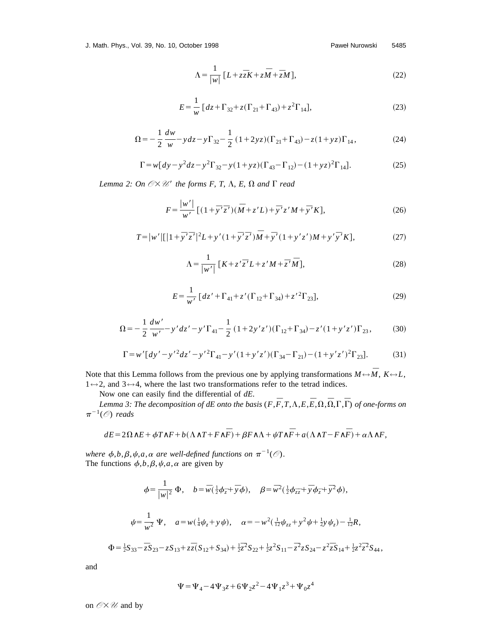J. Math. Phys., Vol. 39, No. 10, October 1998 Paweł Nurowski 5485

$$
\Lambda = \frac{1}{|w|} \left[ L + z\overline{z}K + z\overline{M} + \overline{z}M \right],\tag{22}
$$

$$
E = \frac{1}{w} \left[ dz + \Gamma_{32} + z(\Gamma_{21} + \Gamma_{43}) + z^2 \Gamma_{14} \right],
$$
 (23)

$$
\Omega = -\frac{1}{2} \frac{dw}{w} - y dz - y \Gamma_{32} - \frac{1}{2} (1 + 2yz)(\Gamma_{21} + \Gamma_{43}) - z(1 + yz)\Gamma_{14},
$$
\n(24)

$$
\Gamma = w \left[ dy - y^2 dz - y^2 \Gamma_{32} - y (1 + yz)(\Gamma_{43} - \Gamma_{12}) - (1 + yz)^2 \Gamma_{14} \right].
$$
 (25)

*Lemma 2: On*  $O\times\mathcal{U}'$  the forms *F*, *T*,  $\Lambda$ , *E*,  $\Omega$  *and*  $\Gamma$  *read* 

$$
F = \frac{|w'|}{w'} \left[ (1 + \bar{y}'\bar{z}')(\bar{M} + z'L) + \bar{y}'z'M + \bar{y}'K \right],
$$
 (26)

$$
T = |w'|[|1 + \bar{y}'\bar{z}'|^2L + y'(1 + \bar{y}'\bar{z}')\bar{M} + \bar{y}'(1 + y'z')M + y'\bar{y}'K],
$$
\n(27)

$$
\Lambda = \frac{1}{|w'|} \left[ K + z' \overline{z}' L + z' M + \overline{z}' \overline{M} \right],\tag{28}
$$

$$
E = \frac{1}{w'} \left[ dz' + \Gamma_{41} + z' (\Gamma_{12} + \Gamma_{34}) + z'^2 \Gamma_{23} \right],\tag{29}
$$

$$
\Omega = -\frac{1}{2} \frac{dw'}{w'} - y'dz' - y'\Gamma_{41} - \frac{1}{2} (1+2y'z')(\Gamma_{12} + \Gamma_{34}) - z'(1+y'z')\Gamma_{23},
$$
(30)

$$
\Gamma = w'[dy'-y'^2dz'-y'^2\Gamma_{41}-y'(1+y'z')(\Gamma_{34}-\Gamma_{21})-(1+y'z')^2\Gamma_{23}].
$$
 (31)

Note that this Lemma follows from the previous one by applying transformations  $M \leftrightarrow \overline{M}$ ,  $K \leftrightarrow L$ , 1*↔*2, and 3*↔*4, where the last two transformations refer to the tetrad indices.

Now one can easily find the differential of *dE*.

*Lemma 3: The decomposition of dE onto the basis*  $(F, \overline{F}, T, \Lambda, E, \overline{E}, \Omega, \overline{\Omega}, \Gamma, \overline{\Gamma})$  *of one-forms on*  $\pi^{-1}(\mathcal{O})$  *reads* 

$$
dE = 2\Omega\wedge E + \phi T\wedge F + b(\Lambda\wedge T + F\wedge \overline{F}) + \beta F\wedge \Lambda + \psi T\wedge \overline{F} + a(\Lambda\wedge T - F\wedge \overline{F}) + \alpha\Lambda\wedge F,
$$

*where*  $\phi$ *,b,* $\beta$ *,* $\psi$ *,a,* $\alpha$  *are well-defined functions on*  $\pi^{-1}(\mathcal{O})$ *.* The functions  $\phi$ ,*b*, $\beta$ , $\psi$ , $a$ , $\alpha$  are given by

$$
\phi = \frac{1}{|w|^2} \Phi, \quad b = \overline{w}(\frac{1}{2}\phi_{\overline{z}} + \overline{y}\phi), \quad \beta = \overline{w}^2(\frac{1}{2}\phi_{\overline{z}\overline{z}} + \overline{y}\phi_{\overline{z}} + \overline{y}^2\phi),
$$
  

$$
\psi = \frac{1}{w^2} \Psi, \quad a = w(\frac{1}{4}\psi_z + y\psi), \quad \alpha = -w^2(\frac{1}{12}\psi_{zz} + y^2\psi + \frac{1}{2}y\psi_z) - \frac{1}{12}R,
$$
  

$$
\Phi = \frac{1}{2}S_{33} - \overline{z}S_{23} - zS_{13} + z\overline{z}(S_{12} + S_{34}) + \frac{1}{2}\overline{z}^2S_{22} + \frac{1}{2}z^2S_{11} - \overline{z}^2zS_{24} - z^2\overline{z}S_{14} + \frac{1}{2}z^2\overline{z}^2S_{44},
$$

and

$$
\Psi = \Psi_4 - 4\Psi_3 z + 6\Psi_2 z^2 - 4\Psi_1 z^3 + \Psi_0 z^4
$$

on  $\mathcal{O}\times\mathcal{U}$  and by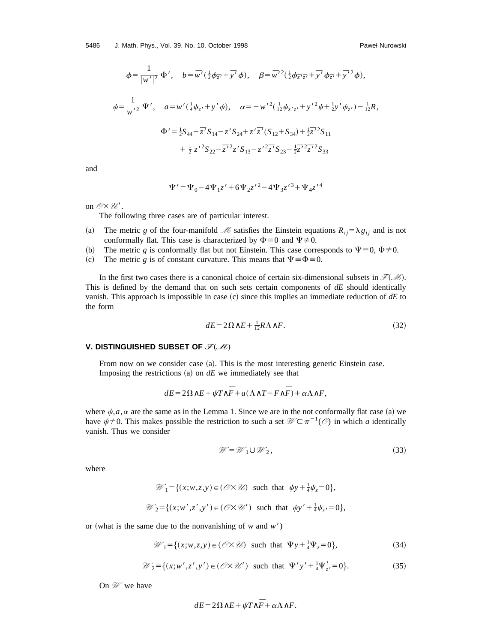$$
\phi = \frac{1}{|w'|^2} \Phi', \quad b = \overline{w}'(\frac{1}{2}\phi_{\overline{z}'} + \overline{y}' \phi), \quad \beta = \overline{w}'^2(\frac{1}{2}\phi_{\overline{z}'\overline{z}'} + \overline{y}' \phi_{\overline{z}'} + \overline{y}'^2 \phi),
$$
  

$$
\psi = \frac{1}{w'^2} \Psi', \quad a = w'(\frac{1}{4}\psi_{z'} + y' \psi), \quad \alpha = -w'^2(\frac{1}{12}\psi_{z'z'} + y'^2 \psi + \frac{1}{2}y' \psi_{z'}) - \frac{1}{12}R,
$$
  

$$
\Phi' = \frac{1}{2}S_{44} - \overline{z}' S_{14} - z' S_{24} + z' \overline{z}'(S_{12} + S_{34}) + \frac{1}{2}\overline{z}'^2 S_{11} + \frac{1}{2}z'^2 S_{22} - \overline{z}'^2 z' S_{13} - z'^2 \overline{z}' S_{23} - \frac{1}{2}\overline{z}'^2 \overline{z}' S_{33}
$$

and

$$
\Psi' = \Psi_0 - 4\Psi_1 z' + 6\Psi_2 z'^2 - 4\Psi_3 z'^3 + \Psi_4 z'^4
$$

on  $\mathcal{O}\times\mathcal{U}'$ .

The following three cases are of particular interest.

- (a) The metric *g* of the four-manifold *M* satisfies the Einstein equations  $R_{ij} = \lambda g_{ij}$  and is not conformally flat. This case is characterized by  $\Phi = 0$  and  $\Psi \neq 0$ .
- (b) The metric *g* is conformally flat but not Einstein. This case corresponds to  $\Psi = 0$ ,  $\Phi \neq 0$ .
- (c) The metric *g* is of constant curvature. This means that  $\Psi \equiv \Phi \equiv 0$ .

In the first two cases there is a canonical choice of certain six-dimensional subsets in  $\mathcal{F}(M)$ . This is defined by the demand that on such sets certain components of *dE* should identically vanish. This approach is impossible in case  $(c)$  since this implies an immediate reduction of  $dE$  to the form

$$
dE = 2\Omega \wedge E + \frac{1}{12}R\Lambda \wedge F. \tag{32}
$$

#### **V. DISTINGUISHED SUBSET OF**  $\mathscr{F}(\mathscr{M})$

From now on we consider case  $(a)$ . This is the most interesting generic Einstein case. Imposing the restrictions  $(a)$  on  $dE$  we immediately see that

$$
dE = 2\Omega\wedge E + \psi T\wedge \overline{F} + a(\Lambda\wedge T - F\wedge \overline{F}) + \alpha\Lambda\wedge F,
$$

where  $\psi$ , *a*, *a* are the same as in the Lemma 1. Since we are in the not conformally flat case (a) we have  $\psi \neq 0$ . This makes possible the restriction to such a set  $\mathcal{W} \subset \pi^{-1}(\mathcal{O})$  in which *a* identically vanish. Thus we consider

$$
\mathcal{W} = \mathcal{W}_1 \cup \mathcal{W}_2,\tag{33}
$$

where

$$
\mathcal{W}_1 = \{(x; w, z, y) \in (\mathcal{O} \times \mathcal{U}) \text{ such that } \psi y + \frac{1}{4} \psi_z = 0\},
$$
  

$$
\mathcal{W}_2 = \{(x; w', z', y') \in (\mathcal{O} \times \mathcal{U}') \text{ such that } \psi y' + \frac{1}{4} \psi_z = 0\},
$$

or (what is the same due to the nonvanishing of  $w$  and  $w'$ )

$$
\mathcal{W}_1 = \{ (x; w, z, y) \in (\mathcal{O} \times \mathcal{U}) \text{ such that } \Psi y + \frac{1}{4} \Psi_z = 0 \},\tag{34}
$$

$$
\mathcal{W}_2 = \{ (x; w', z', y') \in (\mathcal{O} \times \mathcal{U}') \text{ such that } \Psi' y' + \frac{1}{4} \Psi'_{z'} = 0 \}. \tag{35}
$$

On *W* we have

$$
dE = 2\Omega \wedge E + \psi T \wedge \bar{F} + \alpha \Lambda \wedge F.
$$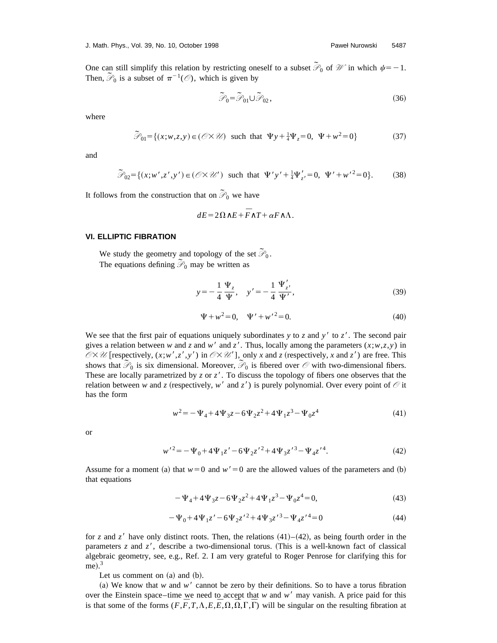One can still simplify this relation by restricting oneself to a subset  $\tilde{\mathcal{P}}_0$  of  $\mathcal W$  in which  $\psi$ = -1. Then,  $\widetilde{\mathcal{P}}_0$  is a subset of  $\pi^{-1}(\mathcal{O})$ , which is given by

$$
\widetilde{\mathcal{P}}_0 = \widetilde{\mathcal{P}}_{01} \cup \widetilde{\mathcal{P}}_{02},\tag{36}
$$

where

$$
\widetilde{\mathcal{P}}_{01} = \{ (x; w, z, y) \in (\mathcal{O} \times \mathcal{U}) \text{ such that } \Psi y + \frac{1}{4} \Psi_z = 0, \ \Psi + w^2 = 0 \}
$$
 (37)

and

$$
\widetilde{\mathcal{P}}_{02} = \{ (x; w', z', y') \in (\mathcal{O} \times \mathcal{U}') \text{ such that } \Psi' y' + \frac{1}{4} \Psi'_{z'} = 0, \ \Psi' + w'^2 = 0 \}. \tag{38}
$$

It follows from the construction that on  $\tilde{\mathcal{P}}_0$  we have

$$
dE = 2\Omega \wedge E + \overline{F} \wedge T + \alpha F \wedge \Lambda.
$$

# **VI. ELLIPTIC FIBRATION**

We study the geometry and topology of the set  $\widetilde{\mathcal{P}}_0$ . The equations defining  $\mathcal{P}_0$  may be written as

$$
y = -\frac{1}{4} \frac{\Psi_z}{\Psi}, \quad y' = -\frac{1}{4} \frac{\Psi'_{z'}}{\Psi'}, \tag{39}
$$

$$
\Psi + w^2 = 0, \quad \Psi' + w'^2 = 0.
$$
\n(40)

We see that the first pair of equations uniquely subordinates *y* to *z* and *y'* to *z'*. The second pair gives a relation between *w* and *z* and *w'* and *z'*. Thus, locally among the parameters  $(x; w, z, y)$  in  $\mathcal{O}\times\mathcal{U}$  [respectively,  $(x; w', z', y')$  in  $\mathcal{O}\times\mathcal{U}'$ ], only *x* and *z* (respectively, *x* and *z'*) are free. This shows that  $\mathcal{P}_0$  is six dimensional. Moreover,  $\mathcal{P}_0$  is fibered over  $\mathcal O$  with two-dimensional fibers. These are locally parametrized by  $z$  or  $z'$ . To discuss the topology of fibers one observes that the relation between *w* and *z* (respectively, *w'* and *z'*) is purely polynomial. Over every point of  $\emptyset$  it has the form

$$
w^{2} = -\Psi_{4} + 4\Psi_{3}z - 6\Psi_{2}z^{2} + 4\Psi_{1}z^{3} - \Psi_{0}z^{4}
$$
\n(41)

or

$$
w^2 = -\Psi_0 + 4\Psi_1 z' - 6\Psi_2 z'^2 + 4\Psi_3 z'^3 - \Psi_4 z'^4.
$$
 (42)

Assume for a moment (a) that  $w=0$  and  $w'=0$  are the allowed values of the parameters and (b) that equations

$$
-\Psi_4 + 4\Psi_3 z - 6\Psi_2 z^2 + 4\Psi_1 z^3 - \Psi_0 z^4 = 0,
$$
\n(43)

$$
-\Psi_0 + 4\Psi_1 z' - 6\Psi_2 z'^2 + 4\Psi_3 z'^3 - \Psi_4 z'^4 = 0
$$
\n(44)

for *z* and *z'* have only distinct roots. Then, the relations  $(41)$ – $(42)$ , as being fourth order in the parameters  $z$  and  $z'$ , describe a two-dimensional torus. (This is a well-known fact of classical algebraic geometry, see, e.g., Ref. 2. I am very grateful to Roger Penrose for clarifying this for  $me$ ).<sup>3</sup>

Let us comment on  $(a)$  and  $(b)$ .

(a) We know that *w* and *w'* cannot be zero by their definitions. So to have a torus fibration over the Einstein space–time we need to accept that  $w$  and  $w'$  may vanish. A price paid for this is that some of the forms  $(F, \overline{F}, T, \Lambda, E, \overline{E}, \Omega, \overline{\Omega}, \Gamma, \overline{\Gamma})$  will be singular on the resulting fibration at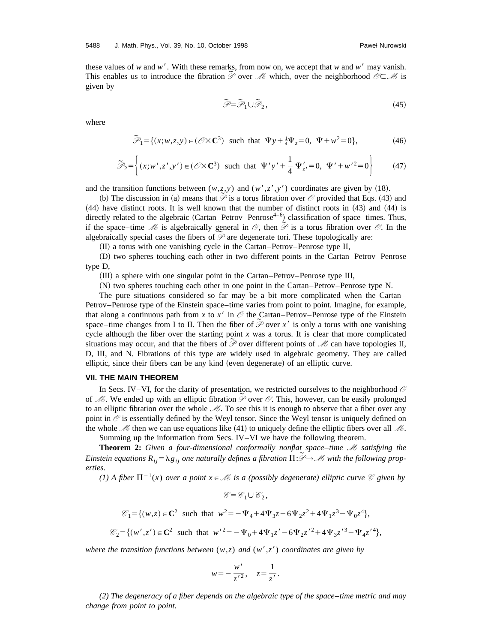these values of *w* and *w'*. With these remarks, from now on, we accept that *w* and *w'* may vanish. This enables us to introduce the fibration  $\tilde{\mathcal{P}}$  over *M* which, over the neighborhood  $\mathcal{O} \subset \mathcal{M}$  is given by

$$
\tilde{\mathcal{P}} = \tilde{\mathcal{P}}_1 \cup \tilde{\mathcal{P}}_2,\tag{45}
$$

where

$$
\widetilde{\mathcal{P}}_1 = \{ (x; w, z, y) \in (\mathcal{O} \times \mathbf{C}^3) \text{ such that } \Psi y + \frac{1}{4} \Psi_z = 0, \ \Psi + w^2 = 0 \},\tag{46}
$$

$$
\widetilde{\mathcal{P}}_2 = \left\{ (x; w', z', y') \in (\mathcal{O} \times \mathbf{C}^3) \text{ such that } \Psi' y' + \frac{1}{4} \Psi'_{z'} = 0, \Psi' + w'^2 = 0 \right\}
$$
 (47)

and the transition functions between  $(w, z, y)$  and  $(w', z', y')$  coordinates are given by (18).

The discussion in (a) means that  $\overline{P}$  is a torus fibration over  $\mathcal O$  provided that Eqs. (43) and (b) The discussion in (a) means that  $\overline{P}$  is a torus fibration over  $\mathcal O$  provided that Eqs. (43) and  $(44)$  have distinct roots. It is well known that the number of distinct roots in  $(43)$  and  $(44)$  is directly related to the algebraic (Cartan–Petrov–Penrose<sup>4–6</sup>) classification of space–times. Thus, if the space–time *M* is algebraically general in  $\mathcal O$ , then  $\mathcal P$  is a torus fibration over  $\mathcal O$ . In the algebraically special cases the fibers of  $\mathcal{P}$  are degenerate tori. These topologically are:

(II) a torus with one vanishing cycle in the Cartan–Petrov–Penrose type II,

~D! two spheres touching each other in two different points in the Cartan–Petrov–Penrose type D,

(III) a sphere with one singular point in the Cartan–Petrov–Penrose type III,

~N! two spheres touching each other in one point in the Cartan–Petrov–Penrose type N.

The pure situations considered so far may be a bit more complicated when the Cartan– Petrov–Penrose type of the Einstein space–time varies from point to point. Imagine, for example, that along a continuous path from *x* to *x'* in  $\oslash$  the Cartan–Petrov–Penrose type of the Einstein space–time changes from I to II. Then the fiber of  $\tilde{\mathcal{P}}$  over *x'* is only a torus with one vanishing space–time changes from I to II. Then the fiber of  $\tilde{\mathcal{P}}$  over *x'* is only a torus with one vanishing cycle although the fiber over the starting point *x* was a torus. It is clear that more complicated situations may occur, and that the fibers of  $\tilde{\mathcal{P}}$  over different points of  $\mathcal{M}$  can have topologies II, D, III, and N. Fibrations of this type are widely used in algebraic geometry. They are called elliptic, since their fibers can be any kind (even degenerate) of an elliptic curve.

## **VII. THE MAIN THEOREM**

In Secs. IV–VI, for the clarity of presentation, we restricted ourselves to the neighborhood  $\oslash$ of *M*. We ended up with an elliptic fibration  $\tilde{\mathcal{P}}$  over  $\mathcal{O}$ . This, however, can be easily prolonged of *M*. to an elliptic fibration over the whole *M*. To see this it is enough to observe that a fiber over any point in *O* is essentially defined by the Weyl tensor. Since the Weyl tensor is uniquely defined on the whole *M* then we can use equations like (41) to uniquely define the elliptic fibers over all *M*.

Summing up the information from Secs. IV–VI we have the following theorem.

**Theorem 2:** *Given a four-dimensional conformally nonflat space*–*time M satisfying the* **Einstein equations**  $R_{ij} = \lambda g_{ij}$  **one naturally defines a fibration**  $\Pi: \mathcal{P} \rightarrow \mathcal{M}$  **with the following prop***erties.*

*(1) A fiber*  $\Pi^{-1}(x)$  *over a point*  $x \in \mathcal{M}$  *is a (possibly degenerate) elliptic curve*  $\mathcal{C}$  *given by* 

$$
\mathcal{C} = \mathcal{C}_1 \cup \mathcal{C}_2,
$$
  

$$
\mathcal{C}_1 = \{ (w, z) \in \mathbb{C}^2 \text{ such that } w^2 = -\Psi_4 + 4\Psi_3 z - 6\Psi_2 z^2 + 4\Psi_1 z^3 - \Psi_0 z^4 \},
$$
  

$$
\mathcal{C}_2 = \{ (w', z') \in \mathbb{C}^2 \text{ such that } w'^2 = -\Psi_0 + 4\Psi_1 z' - 6\Psi_2 z'^2 + 4\Psi_3 z'^3 - \Psi_4 z'^4 \},
$$

*where the transition functions between*  $(w,z)$  *and*  $(w',z')$  *coordinates are given by* 

$$
w = -\frac{w'}{z'^2}, \quad z = \frac{1}{z'}
$$

.

*(2) The degeneracy of a fiber depends on the algebraic type of the space*–*time metric and may change from point to point.*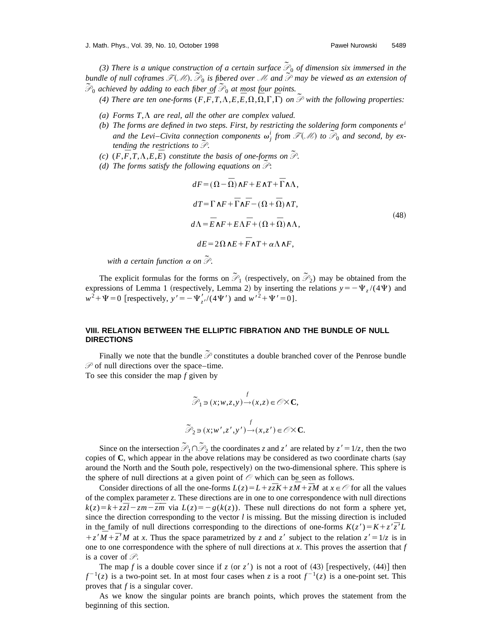(3) There is a unique construction of a certain surface  $\tilde{P}_0$  of dimension six immersed in the bundle of null coframes  $F(M)$ .  $\mathcal{P}_0$  is fibered over *M* and  $\mathcal{P}$  may be viewed as an extension of bundle of null coframes  $F(M)$ .  $\mathcal{P}_0$  is fibered over *M* and  $\mathcal{P}$  may be viewed as an extension of  $\mathcal{P}_0$  achieved by adding to each fiber of  $\mathcal{P}_0$  at most four points.

(4) There are ten one-forms  $(F, \overline{F}, T, \Lambda, E, \overline{E}, \Omega, \overline{\Omega}, \Gamma, \overline{\Gamma})$  on  $\overline{\mathscr{P}}$  with the following properties:

- $(a)$  Forms  $T, \Lambda$  *are real, all the other are complex valued.*
- *(b) The forms are defined in two steps. First, by restricting the soldering form components e<sup>i</sup>* and the Levi–Civita connection components  $\omega_j^i$  *from*  $\mathcal{F}(\mathcal{M})$  to  $\mathcal{P}_0$  and second, by ex*tending the restrictions to*  $\tilde{\mathcal{P}}$ .
- (c)  $(F, \overline{F}, T, \Lambda, E, \overline{E})$  *constitute the basis of one-forms on*  $\widetilde{\mathcal{P}}$ .
- *(d) The forms satisfy the following equations on P* ˜:

$$
dF = (\Omega - \bar{\Omega})\wedge F + E\wedge T + \bar{\Gamma}\wedge \Lambda,
$$
  
\n
$$
dT = \Gamma\wedge F + \bar{\Gamma}\wedge \bar{F} - (\Omega + \bar{\Omega})\wedge T,
$$
  
\n
$$
d\Lambda = \bar{E}\wedge F + E\Lambda \bar{F} + (\Omega + \bar{\Omega})\wedge \Lambda,
$$
  
\n
$$
dE = 2\Omega\wedge E + \bar{F}\wedge T + \alpha\Lambda\wedge F,
$$
\n(48)

*with a certain function* <sup>a</sup> *on P* ˜.

The explicit formulas for the forms on  $\widetilde{\mathcal{P}}_1$  (respectively, on  $\widetilde{\mathcal{P}}_2$ ) may be obtained from the expressions of Lemma 1 (respectively, Lemma 2) by inserting the relations  $y=-\Psi_z/(4\Psi)$  and  $w^2 + \Psi = 0$  [respectively,  $y' = -\Psi'_{z'}/(4\Psi')$  and  $w'^2 + \Psi' = 0$ ].

# **VIII. RELATION BETWEEN THE ELLIPTIC FIBRATION AND THE BUNDLE OF NULL DIRECTIONS**

Finally we note that the bundle  $\tilde{\mathcal{P}}$  constitutes a double branched cover of the Penrose bundle *P* of null directions over the space–time.

To see this consider the map *f* given by

$$
\widetilde{\mathcal{P}}_1 \ni (x; w, z, y) \rightarrow (x, z) \in \mathcal{O} \times \mathbf{C},
$$

$$
\widetilde{\mathcal{P}}_2 \ni (x; w', z', y') \rightarrow (x, z') \in \mathcal{O} \times \mathbf{C}.
$$

Since on the intersection  $\widetilde{\mathcal{P}}_1 \cap \widetilde{\mathcal{P}}_2$  the coordinates *z* and *z'* are related by  $z' = 1/z$ , then the two copies of  $C$ , which appear in the above relations may be considered as two coordinate charts (say around the North and the South pole, respectively) on the two-dimensional sphere. This sphere is the sphere of null directions at a given point of *O* which can be seen as follows.

Consider directions of all the one-forms  $L(z) = L + z\overline{z}K + z\overline{M} + \overline{z}M$  at  $x \in \mathcal{O}$  for all the values of the complex parameter *z*. These directions are in one to one correspondence with null directions  $k(z) = k + \overline{z} \overline{z}l - zm - \overline{z}\overline{m}$  via  $L(z) = -g(k(z))$ . These null directions do not form a sphere yet, since the direction corresponding to the vector  $l$  is missing. But the missing direction is included in the family of null directions corresponding to the directions of one-forms  $K(z') = K + z' \overline{z'} L$  $\frac{1}{2} + z'\overline{M} + \overline{z}'M$  at *x*. Thus the space parametrized by *z* and *z'* subject to the relation  $z' = 1/z$  is in one to one correspondence with the sphere of null directions at *x*. This proves the assertion that *f* is a cover of *P*.

The map *f* is a double cover since if *z* (or *z'*) is not a root of (43) [respectively, (44)] then  $f^{-1}(z)$  is a two-point set. In at most four cases when *z* is a root  $f^{-1}(z)$  is a one-point set. This proves that *f* is a singular cover.

As we know the singular points are branch points, which proves the statement from the beginning of this section.